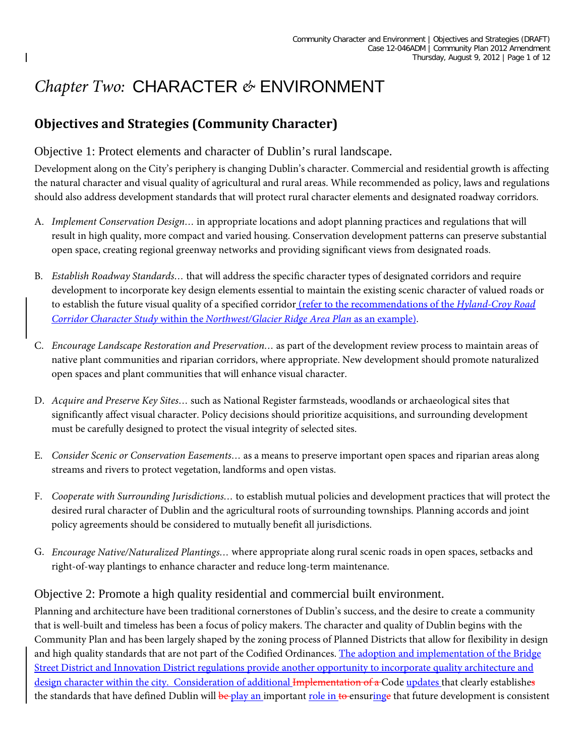# *Chapter Two:* CHARACTER *&* ENVIRONMENT

# **Objectives and Strategies (Community Character)**

# Objective 1: Protect elements and character of Dublin's rural landscape.

Development along on the City's periphery is changing Dublin's character. Commercial and residential growth is affecting the natural character and visual quality of agricultural and rural areas. While recommended as policy, laws and regulations should also address development standards that will protect rural character elements and designated roadway corridors.

- A. *Implement Conservation Design…* in appropriate locations and adopt planning practices and regulations that will result in high quality, more compact and varied housing. Conservation development patterns can preserve substantial open space, creating regional greenway networks and providing significant views from designated roads.
- B. *Establish Roadway Standards…* that will address the specific character types of designated corridors and require development to incorporate key design elements essential to maintain the existing scenic character of valued roads or to establish the future visual quality of a specified corridor (refer to the recommendations of the *Hyland-Croy Road Corridor Character Study* within the *Northwest/Glacier Ridge Area Plan* as an example).
- C. *Encourage Landscape Restoration and Preservation…* as part of the development review process to maintain areas of native plant communities and riparian corridors, where appropriate. New development should promote naturalized open spaces and plant communities that will enhance visual character.
- D. *Acquire and Preserve Key Sites…* such as National Register farmsteads, woodlands or archaeological sites that significantly affect visual character. Policy decisions should prioritize acquisitions, and surrounding development must be carefully designed to protect the visual integrity of selected sites.
- E. *Consider Scenic or Conservation Easements…* as a means to preserve important open spaces and riparian areas along streams and rivers to protect vegetation, landforms and open vistas.
- F. *Cooperate with Surrounding Jurisdictions…* to establish mutual policies and development practices that will protect the desired rural character of Dublin and the agricultural roots of surrounding townships. Planning accords and joint policy agreements should be considered to mutually benefit all jurisdictions.
- G. *Encourage Native/Naturalized Plantings…* where appropriate along rural scenic roads in open spaces, setbacks and right-of-way plantings to enhance character and reduce long-term maintenance.

# Objective 2: Promote a high quality residential and commercial built environment.

Planning and architecture have been traditional cornerstones of Dublin's success, and the desire to create a community that is well-built and timeless has been a focus of policy makers. The character and quality of Dublin begins with the Community Plan and has been largely shaped by the zoning process of Planned Districts that allow for flexibility in design and high quality standards that are not part of the Codified Ordinances. The adoption and implementation of the Bridge Street District and Innovation District regulations provide another opportunity to incorporate quality architecture and design character within the city. Consideration of additional Implementation of a Code updates that clearly establishes the standards that have defined Dublin will be play an important role in to ensuringe that future development is consistent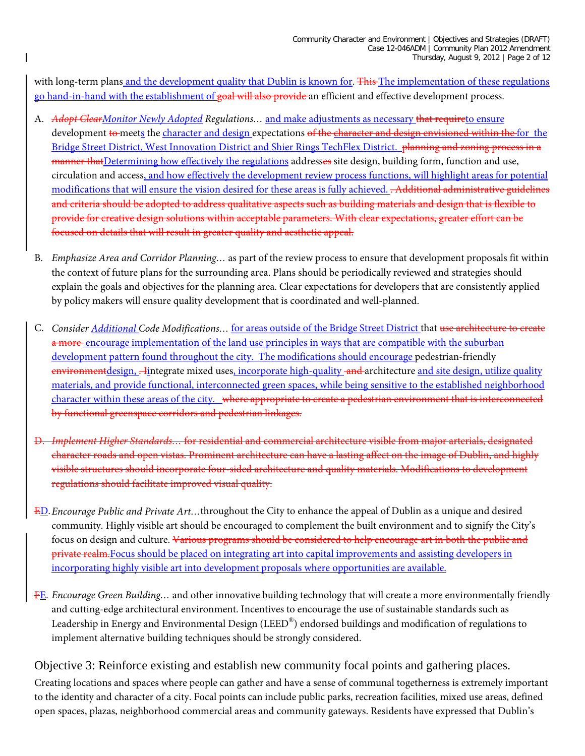with long-term plans and the development quality that Dublin is known for. This The implementation of these regulations go hand-in-hand with the establishment of goal will also provide an efficient and effective development process.

- A. *Adopt ClearMonitor Newly Adopted Regulations…* and make adjustments as necessary that requireto ensure development to meets the character and design expectations of the character and design envisioned within the for the Bridge Street District, West Innovation District and Shier Rings TechFlex District. planning and zoning process in a manner that Determining how effectively the regulations addresses site design, building form, function and use, circulation and access, and how effectively the development review process functions, will highlight areas for potential modifications that will ensure the vision desired for these areas is fully achieved. . Additional administrative guidelines and criteria should be adopted to address qualitative aspects such as building materials and design that is flexible to provide for creative design solutions within acceptable parameters. With clear expectations, greater effort can be focused on details that will result in greater quality and aesthetic appeal.
- B. *Emphasize Area and Corridor Planning…* as part of the review process to ensure that development proposals fit within the context of future plans for the surrounding area. Plans should be periodically reviewed and strategies should explain the goals and objectives for the planning area. Clear expectations for developers that are consistently applied by policy makers will ensure quality development that is coordinated and well-planned.
- C. *Consider Additional Code Modifications…* for areas outside of the Bridge Street District that use architecture to create a more encourage implementation of the land use principles in ways that are compatible with the suburban development pattern found throughout the city. The modifications should encourage pedestrian-friendly environmentdesign, . Iintegrate mixed uses, incorporate high-quality and architecture and site design, utilize quality materials, and provide functional, interconnected green spaces, while being sensitive to the established neighborhood character within these areas of the city. where appropriate to create a pedestrian environment that is interconnected by functional greenspace corridors and pedestrian linkages.
- D. *Implement Higher Standards…* for residential and commercial architecture visible from major arterials, designated character roads and open vistas. Prominent architecture can have a lasting affect on the image of Dublin, and highly visible structures should incorporate four-sided architecture and quality materials. Modifications to development regulations should facilitate improved visual quality.
- ED.*Encourage Public and Private Art…*throughout the City to enhance the appeal of Dublin as a unique and desired community. Highly visible art should be encouraged to complement the built environment and to signify the City's focus on design and culture. Various programs should be considered to help encourage art in both the public and private realm.Focus should be placed on integrating art into capital improvements and assisting developers in incorporating highly visible art into development proposals where opportunities are available.
- FE. *Encourage Green Building…* and other innovative building technology that will create a more environmentally friendly and cutting-edge architectural environment. Incentives to encourage the use of sustainable standards such as Leadership in Energy and Environmental Design (LEED®) endorsed buildings and modification of regulations to implement alternative building techniques should be strongly considered.

# Objective 3: Reinforce existing and establish new community focal points and gathering places.

Creating locations and spaces where people can gather and have a sense of communal togetherness is extremely important to the identity and character of a city. Focal points can include public parks, recreation facilities, mixed use areas, defined open spaces, plazas, neighborhood commercial areas and community gateways. Residents have expressed that Dublin's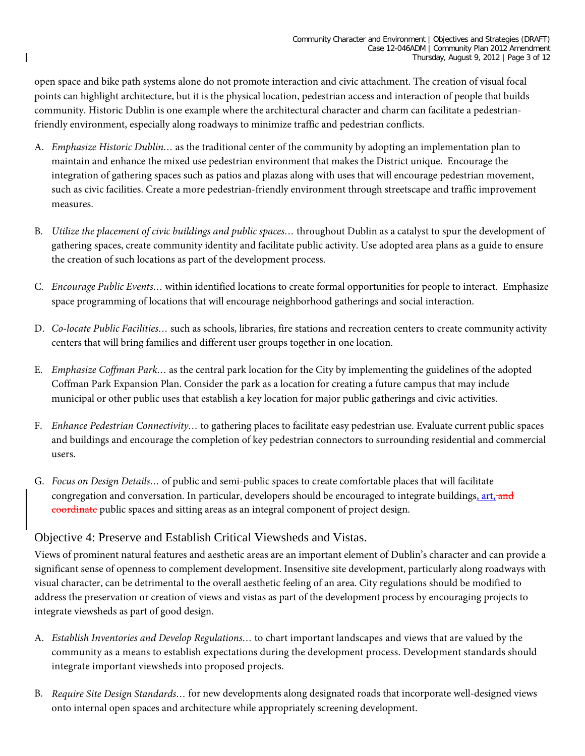open space and bike path systems alone do not promote interaction and civic attachment. The creation of visual focal points can highlight architecture, but it is the physical location, pedestrian access and interaction of people that builds community. Historic Dublin is one example where the architectural character and charm can facilitate a pedestrianfriendly environment, especially along roadways to minimize traffic and pedestrian conflicts.

- A. *Emphasize Historic Dublin…* as the traditional center of the community by adopting an implementation plan to maintain and enhance the mixed use pedestrian environment that makes the District unique. Encourage the integration of gathering spaces such as patios and plazas along with uses that will encourage pedestrian movement, such as civic facilities. Create a more pedestrian-friendly environment through streetscape and traffic improvement measures.
- B. *Utilize the placement of civic buildings and public spaces…* throughout Dublin as a catalyst to spur the development of gathering spaces, create community identity and facilitate public activity. Use adopted area plans as a guide to ensure the creation of such locations as part of the development process.
- C. *Encourage Public Events…* within identified locations to create formal opportunities for people to interact. Emphasize space programming of locations that will encourage neighborhood gatherings and social interaction.
- D. *Co-locate Public Facilities…* such as schools, libraries, fire stations and recreation centers to create community activity centers that will bring families and different user groups together in one location.
- E. *Emphasize Coffman Park…* as the central park location for the City by implementing the guidelines of the adopted Coffman Park Expansion Plan. Consider the park as a location for creating a future campus that may include municipal or other public uses that establish a key location for major public gatherings and civic activities.
- F. *Enhance Pedestrian Connectivity…* to gathering places to facilitate easy pedestrian use. Evaluate current public spaces and buildings and encourage the completion of key pedestrian connectors to surrounding residential and commercial users.
- G. *Focus on Design Details…* of public and semi-public spaces to create comfortable places that will facilitate congregation and conversation. In particular, developers should be encouraged to integrate buildings, art, and coordinate public spaces and sitting areas as an integral component of project design.

# Objective 4: Preserve and Establish Critical Viewsheds and Vistas.

Views of prominent natural features and aesthetic areas are an important element of Dublin's character and can provide a significant sense of openness to complement development. Insensitive site development, particularly along roadways with visual character, can be detrimental to the overall aesthetic feeling of an area. City regulations should be modified to address the preservation or creation of views and vistas as part of the development process by encouraging projects to integrate viewsheds as part of good design.

- A. *Establish Inventories and Develop Regulations…* to chart important landscapes and views that are valued by the community as a means to establish expectations during the development process. Development standards should integrate important viewsheds into proposed projects.
- B. *Require Site Design Standards…* for new developments along designated roads that incorporate well-designed views onto internal open spaces and architecture while appropriately screening development.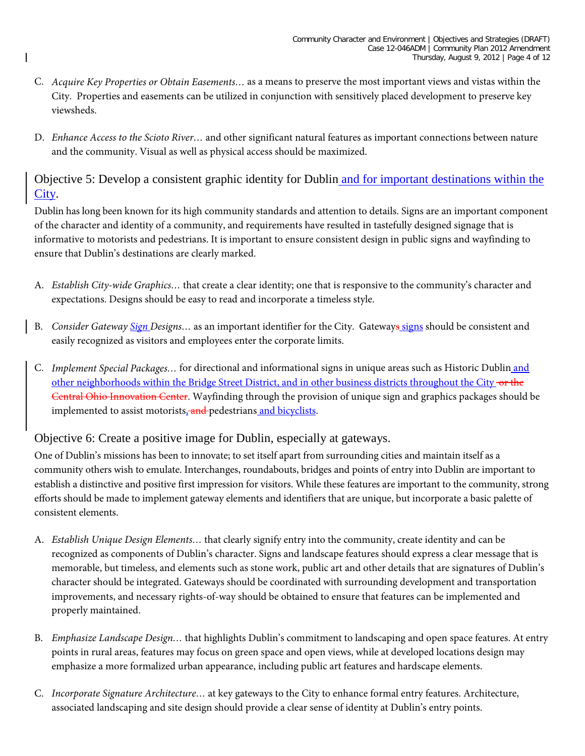- C. *Acquire Key Properties or Obtain Easements…* as a means to preserve the most important views and vistas within the City. Properties and easements can be utilized in conjunction with sensitively placed development to preserve key viewsheds.
- D. *Enhance Access to the Scioto River…* and other significant natural features as important connections between nature and the community. Visual as well as physical access should be maximized.

Objective 5: Develop a consistent graphic identity for Dublin and for important destinations within the City.

Dublin has long been known for its high community standards and attention to details. Signs are an important component of the character and identity of a community, and requirements have resulted in tastefully designed signage that is informative to motorists and pedestrians. It is important to ensure consistent design in public signs and wayfinding to ensure that Dublin's destinations are clearly marked.

- A. *Establish City-wide Graphics…* that create a clear identity; one that is responsive to the community's character and expectations. Designs should be easy to read and incorporate a timeless style.
- B. *Consider Gateway Sign Designs…* as an important identifier for the City. Gateways signs should be consistent and easily recognized as visitors and employees enter the corporate limits.
- C. *Implement Special Packages…* for directional and informational signs in unique areas such as Historic Dublin and other neighborhoods within the Bridge Street District, and in other business districts throughout the City or the Central Ohio Innovation Center. Wayfinding through the provision of unique sign and graphics packages should be implemented to assist motorists, and pedestrians and bicyclists.

# Objective 6: Create a positive image for Dublin, especially at gateways.

One of Dublin's missions has been to innovate; to set itself apart from surrounding cities and maintain itself as a community others wish to emulate. Interchanges, roundabouts, bridges and points of entry into Dublin are important to establish a distinctive and positive first impression for visitors. While these features are important to the community, strong efforts should be made to implement gateway elements and identifiers that are unique, but incorporate a basic palette of consistent elements.

- A. *Establish Unique Design Elements…* that clearly signify entry into the community, create identity and can be recognized as components of Dublin's character. Signs and landscape features should express a clear message that is memorable, but timeless, and elements such as stone work, public art and other details that are signatures of Dublin's character should be integrated. Gateways should be coordinated with surrounding development and transportation improvements, and necessary rights-of-way should be obtained to ensure that features can be implemented and properly maintained.
- B. *Emphasize Landscape Design…* that highlights Dublin's commitment to landscaping and open space features. At entry points in rural areas, features may focus on green space and open views, while at developed locations design may emphasize a more formalized urban appearance, including public art features and hardscape elements.
- C. *Incorporate Signature Architecture…* at key gateways to the City to enhance formal entry features. Architecture, associated landscaping and site design should provide a clear sense of identity at Dublin's entry points.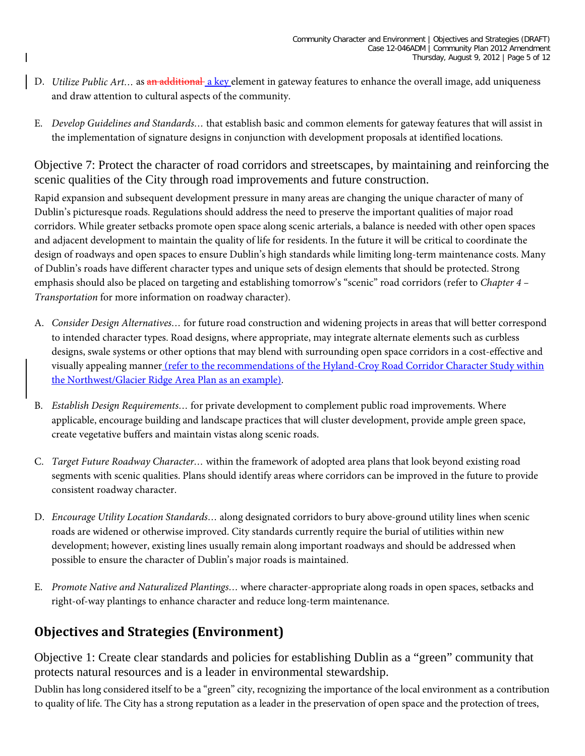- D. *Utilize Public Art...* as an additional a key element in gateway features to enhance the overall image, add uniqueness and draw attention to cultural aspects of the community.
- E. *Develop Guidelines and Standards…* that establish basic and common elements for gateway features that will assist in the implementation of signature designs in conjunction with development proposals at identified locations.

Objective 7: Protect the character of road corridors and streetscapes, by maintaining and reinforcing the scenic qualities of the City through road improvements and future construction.

Rapid expansion and subsequent development pressure in many areas are changing the unique character of many of Dublin's picturesque roads. Regulations should address the need to preserve the important qualities of major road corridors. While greater setbacks promote open space along scenic arterials, a balance is needed with other open spaces and adjacent development to maintain the quality of life for residents. In the future it will be critical to coordinate the design of roadways and open spaces to ensure Dublin's high standards while limiting long-term maintenance costs. Many of Dublin's roads have different character types and unique sets of design elements that should be protected. Strong emphasis should also be placed on targeting and establishing tomorrow's "scenic" road corridors (refer to *Chapter 4 – Transportation* for more information on roadway character).

- A. *Consider Design Alternatives…* for future road construction and widening projects in areas that will better correspond to intended character types. Road designs, where appropriate, may integrate alternate elements such as curbless designs, swale systems or other options that may blend with surrounding open space corridors in a cost-effective and visually appealing manner (refer to the recommendations of the Hyland-Croy Road Corridor Character Study within the Northwest/Glacier Ridge Area Plan as an example).
- B. *Establish Design Requirements…* for private development to complement public road improvements. Where applicable, encourage building and landscape practices that will cluster development, provide ample green space, create vegetative buffers and maintain vistas along scenic roads.
- C. *Target Future Roadway Character…* within the framework of adopted area plans that look beyond existing road segments with scenic qualities. Plans should identify areas where corridors can be improved in the future to provide consistent roadway character.
- D. *Encourage Utility Location Standards…* along designated corridors to bury above-ground utility lines when scenic roads are widened or otherwise improved. City standards currently require the burial of utilities within new development; however, existing lines usually remain along important roadways and should be addressed when possible to ensure the character of Dublin's major roads is maintained.
- E. *Promote Native and Naturalized Plantings…* where character-appropriate along roads in open spaces, setbacks and right-of-way plantings to enhance character and reduce long-term maintenance.

# **Objectives and Strategies (Environment)**

Objective 1: Create clear standards and policies for establishing Dublin as a "green" community that protects natural resources and is a leader in environmental stewardship.

Dublin has long considered itself to be a "green" city, recognizing the importance of the local environment as a contribution to quality of life. The City has a strong reputation as a leader in the preservation of open space and the protection of trees,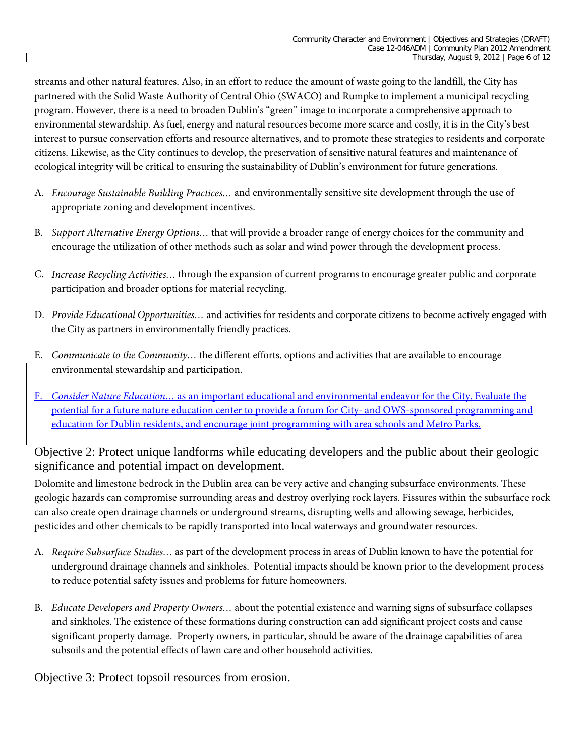streams and other natural features. Also, in an effort to reduce the amount of waste going to the landfill, the City has partnered with the Solid Waste Authority of Central Ohio (SWACO) and Rumpke to implement a municipal recycling program. However, there is a need to broaden Dublin's "green" image to incorporate a comprehensive approach to environmental stewardship. As fuel, energy and natural resources become more scarce and costly, it is in the City's best interest to pursue conservation efforts and resource alternatives, and to promote these strategies to residents and corporate citizens. Likewise, as the City continues to develop, the preservation of sensitive natural features and maintenance of ecological integrity will be critical to ensuring the sustainability of Dublin's environment for future generations.

- A. *Encourage Sustainable Building Practices…* and environmentally sensitive site development through the use of appropriate zoning and development incentives.
- B. *Support Alternative Energy Options…* that will provide a broader range of energy choices for the community and encourage the utilization of other methods such as solar and wind power through the development process.
- C. *Increase Recycling Activities…* through the expansion of current programs to encourage greater public and corporate participation and broader options for material recycling.
- D. *Provide Educational Opportunities…* and activities for residents and corporate citizens to become actively engaged with the City as partners in environmentally friendly practices.
- E. *Communicate to the Community…* the different efforts, options and activities that are available to encourage environmental stewardship and participation.
- F. *Consider Nature Education…* as an important educational and environmental endeavor for the City. Evaluate the potential for a future nature education center to provide a forum for City- and OWS-sponsored programming and education for Dublin residents, and encourage joint programming with area schools and Metro Parks.

Objective 2: Protect unique landforms while educating developers and the public about their geologic significance and potential impact on development.

Dolomite and limestone bedrock in the Dublin area can be very active and changing subsurface environments. These geologic hazards can compromise surrounding areas and destroy overlying rock layers. Fissures within the subsurface rock can also create open drainage channels or underground streams, disrupting wells and allowing sewage, herbicides, pesticides and other chemicals to be rapidly transported into local waterways and groundwater resources.

- A. *Require Subsurface Studies…* as part of the development process in areas of Dublin known to have the potential for underground drainage channels and sinkholes. Potential impacts should be known prior to the development process to reduce potential safety issues and problems for future homeowners.
- B. *Educate Developers and Property Owners…* about the potential existence and warning signs of subsurface collapses and sinkholes. The existence of these formations during construction can add significant project costs and cause significant property damage. Property owners, in particular, should be aware of the drainage capabilities of area subsoils and the potential effects of lawn care and other household activities.

Objective 3: Protect topsoil resources from erosion.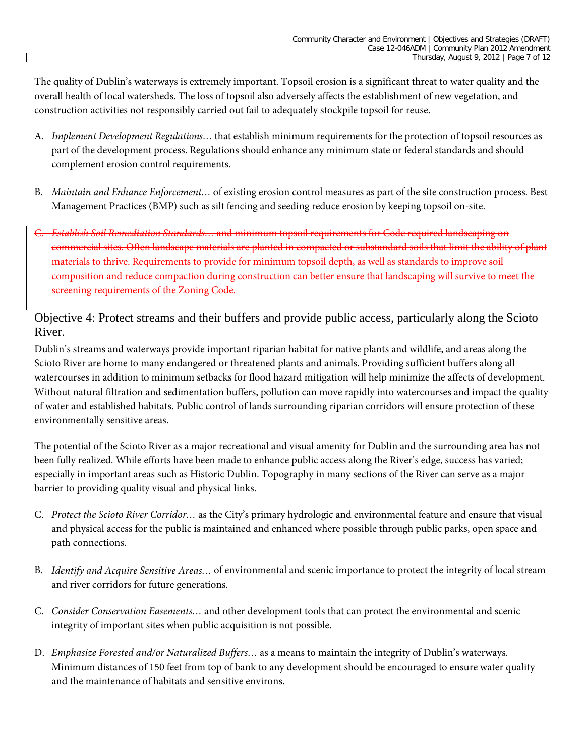The quality of Dublin's waterways is extremely important. Topsoil erosion is a significant threat to water quality and the overall health of local watersheds. The loss of topsoil also adversely affects the establishment of new vegetation, and construction activities not responsibly carried out fail to adequately stockpile topsoil for reuse.

- A. *Implement Development Regulations…* that establish minimum requirements for the protection of topsoil resources as part of the development process. Regulations should enhance any minimum state or federal standards and should complement erosion control requirements.
- B. *Maintain and Enhance Enforcement…* of existing erosion control measures as part of the site construction process. Best Management Practices (BMP) such as silt fencing and seeding reduce erosion by keeping topsoil on-site.
- C. *Establish Soil Remediation Standards…* and minimum topsoil requirements for Code required landscaping on commercial sites. Often landscape materials are planted in compacted or substandard soils that limit the ability of plant materials to thrive. Requirements to provide for minimum topsoil depth, as well as standards to improve soil composition and reduce compaction during construction can better ensure that landscaping will survive to meet the screening requirements of the Zoning Code.

Objective 4: Protect streams and their buffers and provide public access, particularly along the Scioto River.

Dublin's streams and waterways provide important riparian habitat for native plants and wildlife, and areas along the Scioto River are home to many endangered or threatened plants and animals. Providing sufficient buffers along all watercourses in addition to minimum setbacks for flood hazard mitigation will help minimize the affects of development. Without natural filtration and sedimentation buffers, pollution can move rapidly into watercourses and impact the quality of water and established habitats. Public control of lands surrounding riparian corridors will ensure protection of these environmentally sensitive areas.

The potential of the Scioto River as a major recreational and visual amenity for Dublin and the surrounding area has not been fully realized. While efforts have been made to enhance public access along the River's edge, success has varied; especially in important areas such as Historic Dublin. Topography in many sections of the River can serve as a major barrier to providing quality visual and physical links.

- C. *Protect the Scioto River Corridor…* as the City's primary hydrologic and environmental feature and ensure that visual and physical access for the public is maintained and enhanced where possible through public parks, open space and path connections.
- B. *Identify and Acquire Sensitive Areas…* of environmental and scenic importance to protect the integrity of local stream and river corridors for future generations.
- C. *Consider Conservation Easements…* and other development tools that can protect the environmental and scenic integrity of important sites when public acquisition is not possible.
- D. *Emphasize Forested and/or Naturalized Buffers…* as a means to maintain the integrity of Dublin's waterways. Minimum distances of 150 feet from top of bank to any development should be encouraged to ensure water quality and the maintenance of habitats and sensitive environs.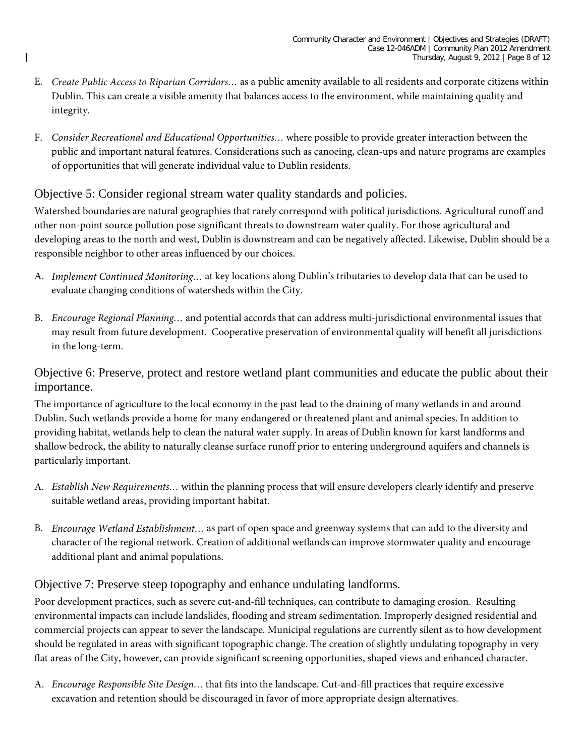- E. *Create Public Access to Riparian Corridors…* as a public amenity available to all residents and corporate citizens within Dublin. This can create a visible amenity that balances access to the environment, while maintaining quality and integrity.
- F. *Consider Recreational and Educational Opportunities…* where possible to provide greater interaction between the public and important natural features. Considerations such as canoeing, clean-ups and nature programs are examples of opportunities that will generate individual value to Dublin residents.

# Objective 5: Consider regional stream water quality standards and policies.

Watershed boundaries are natural geographies that rarely correspond with political jurisdictions. Agricultural runoff and other non-point source pollution pose significant threats to downstream water quality. For those agricultural and developing areas to the north and west, Dublin is downstream and can be negatively affected. Likewise, Dublin should be a responsible neighbor to other areas influenced by our choices.

- A. *Implement Continued Monitoring…* at key locations along Dublin's tributaries to develop data that can be used to evaluate changing conditions of watersheds within the City.
- B. *Encourage Regional Planning…* and potential accords that can address multi-jurisdictional environmental issues that may result from future development. Cooperative preservation of environmental quality will benefit all jurisdictions in the long-term.

# Objective 6: Preserve, protect and restore wetland plant communities and educate the public about their importance.

The importance of agriculture to the local economy in the past lead to the draining of many wetlands in and around Dublin. Such wetlands provide a home for many endangered or threatened plant and animal species. In addition to providing habitat, wetlands help to clean the natural water supply. In areas of Dublin known for karst landforms and shallow bedrock, the ability to naturally cleanse surface runoff prior to entering underground aquifers and channels is particularly important.

- A. *Establish New Requirements…* within the planning process that will ensure developers clearly identify and preserve suitable wetland areas, providing important habitat.
- B. *Encourage Wetland Establishment…* as part of open space and greenway systems that can add to the diversity and character of the regional network. Creation of additional wetlands can improve stormwater quality and encourage additional plant and animal populations.

# Objective 7: Preserve steep topography and enhance undulating landforms.

Poor development practices, such as severe cut-and-fill techniques, can contribute to damaging erosion. Resulting environmental impacts can include landslides, flooding and stream sedimentation. Improperly designed residential and commercial projects can appear to sever the landscape. Municipal regulations are currently silent as to how development should be regulated in areas with significant topographic change. The creation of slightly undulating topography in very flat areas of the City, however, can provide significant screening opportunities, shaped views and enhanced character.

A. *Encourage Responsible Site Design…* that fits into the landscape. Cut-and-fill practices that require excessive excavation and retention should be discouraged in favor of more appropriate design alternatives.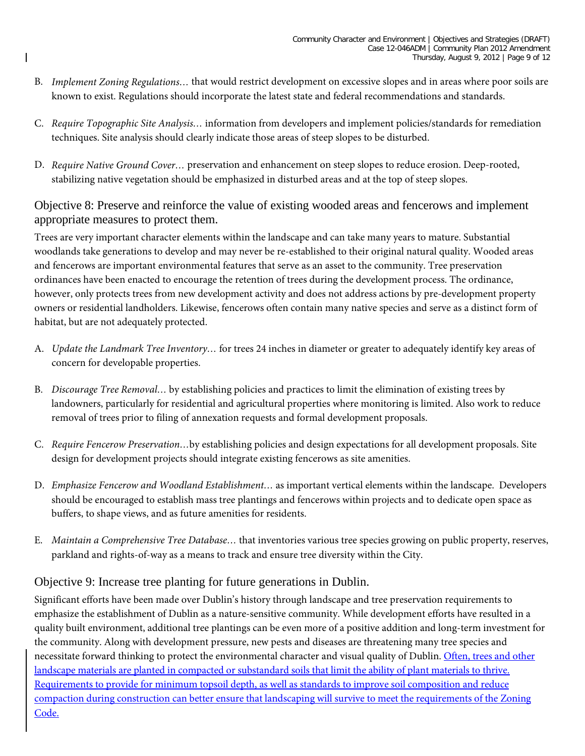- B. *Implement Zoning Regulations…* that would restrict development on excessive slopes and in areas where poor soils are known to exist. Regulations should incorporate the latest state and federal recommendations and standards.
- C. *Require Topographic Site Analysis…* information from developers and implement policies/standards for remediation techniques. Site analysis should clearly indicate those areas of steep slopes to be disturbed.
- D. *Require Native Ground Cover…* preservation and enhancement on steep slopes to reduce erosion. Deep-rooted, stabilizing native vegetation should be emphasized in disturbed areas and at the top of steep slopes.

# Objective 8: Preserve and reinforce the value of existing wooded areas and fencerows and implement appropriate measures to protect them.

Trees are very important character elements within the landscape and can take many years to mature. Substantial woodlands take generations to develop and may never be re-established to their original natural quality. Wooded areas and fencerows are important environmental features that serve as an asset to the community. Tree preservation ordinances have been enacted to encourage the retention of trees during the development process. The ordinance, however, only protects trees from new development activity and does not address actions by pre-development property owners or residential landholders. Likewise, fencerows often contain many native species and serve as a distinct form of habitat, but are not adequately protected.

- A. *Update the Landmark Tree Inventory…* for trees 24 inches in diameter or greater to adequately identify key areas of concern for developable properties.
- B. *Discourage Tree Removal…* by establishing policies and practices to limit the elimination of existing trees by landowners, particularly for residential and agricultural properties where monitoring is limited. Also work to reduce removal of trees prior to filing of annexation requests and formal development proposals.
- C. *Require Fencerow Preservation…*by establishing policies and design expectations for all development proposals. Site design for development projects should integrate existing fencerows as site amenities.
- D. *Emphasize Fencerow and Woodland Establishment…* as important vertical elements within the landscape. Developers should be encouraged to establish mass tree plantings and fencerows within projects and to dedicate open space as buffers, to shape views, and as future amenities for residents.
- E. *Maintain a Comprehensive Tree Database…* that inventories various tree species growing on public property, reserves, parkland and rights-of-way as a means to track and ensure tree diversity within the City.

# Objective 9: Increase tree planting for future generations in Dublin.

Significant efforts have been made over Dublin's history through landscape and tree preservation requirements to emphasize the establishment of Dublin as a nature-sensitive community. While development efforts have resulted in a quality built environment, additional tree plantings can be even more of a positive addition and long-term investment for the community. Along with development pressure, new pests and diseases are threatening many tree species and necessitate forward thinking to protect the environmental character and visual quality of Dublin. Often, trees and other landscape materials are planted in compacted or substandard soils that limit the ability of plant materials to thrive. Requirements to provide for minimum topsoil depth, as well as standards to improve soil composition and reduce compaction during construction can better ensure that landscaping will survive to meet the requirements of the Zoning Code.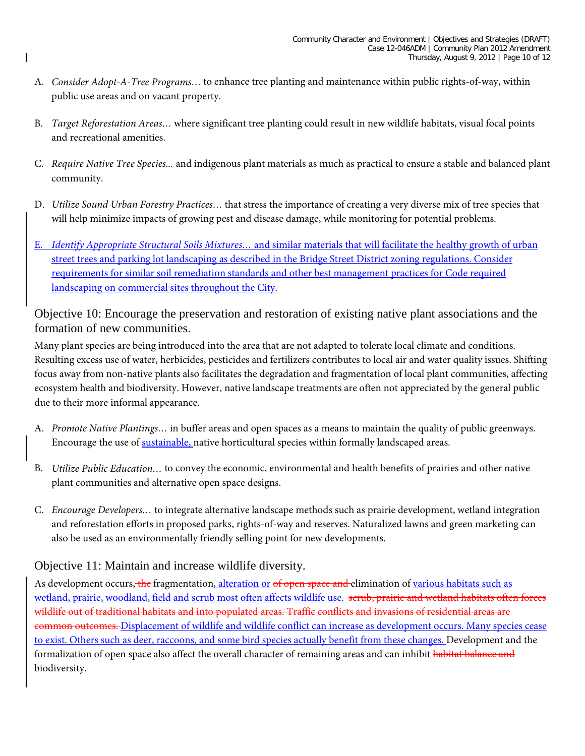- A. *Consider Adopt-A-Tree Programs…* to enhance tree planting and maintenance within public rights-of-way, within public use areas and on vacant property.
- B. *Target Reforestation Areas…* where significant tree planting could result in new wildlife habitats, visual focal points and recreational amenities.
- C. *Require Native Tree Species...* and indigenous plant materials as much as practical to ensure a stable and balanced plant community.
- D. *Utilize Sound Urban Forestry Practices…* that stress the importance of creating a very diverse mix of tree species that will help minimize impacts of growing pest and disease damage, while monitoring for potential problems.
- E. *Identify Appropriate Structural Soils Mixtures…* and similar materials that will facilitate the healthy growth of urban street trees and parking lot landscaping as described in the Bridge Street District zoning regulations. Consider requirements for similar soil remediation standards and other best management practices for Code required landscaping on commercial sites throughout the City.

Objective 10: Encourage the preservation and restoration of existing native plant associations and the formation of new communities.

Many plant species are being introduced into the area that are not adapted to tolerate local climate and conditions. Resulting excess use of water, herbicides, pesticides and fertilizers contributes to local air and water quality issues. Shifting focus away from non-native plants also facilitates the degradation and fragmentation of local plant communities, affecting ecosystem health and biodiversity. However, native landscape treatments are often not appreciated by the general public due to their more informal appearance.

- A. *Promote Native Plantings…* in buffer areas and open spaces as a means to maintain the quality of public greenways. Encourage the use of sustainable, native horticultural species within formally landscaped areas.
- B. *Utilize Public Education…* to convey the economic, environmental and health benefits of prairies and other native plant communities and alternative open space designs.
- C. *Encourage Developers…* to integrate alternative landscape methods such as prairie development, wetland integration and reforestation efforts in proposed parks, rights-of-way and reserves. Naturalized lawns and green marketing can also be used as an environmentally friendly selling point for new developments.

# Objective 11: Maintain and increase wildlife diversity.

As development occurs, the fragmentation, alteration or of open space and elimination of various habitats such as wetland, prairie, woodland, field and scrub most often affects wildlife use. scrub, prairie and wetland habitats often forces wildlife out of traditional habitats and into populated areas. Traffic conflicts and invasions of residential areas are common outcomes. Displacement of wildlife and wildlife conflict can increase as development occurs. Many species cease to exist. Others such as deer, raccoons, and some bird species actually benefit from these changes. Development and the formalization of open space also affect the overall character of remaining areas and can inhibit habitat balance and biodiversity.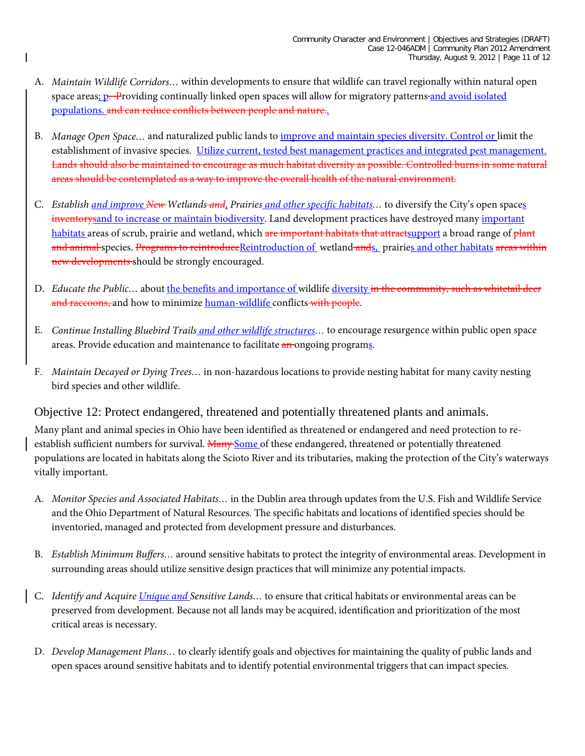- A. *Maintain Wildlife Corridors…* within developments to ensure that wildlife can travel regionally within natural open space areas; p. Providing continually linked open spaces will allow for migratory patterns-and avoid isolated populations. and can reduce conflicts between people and nature..
- B. *Manage Open Space…* and naturalized public lands to improve and maintain species diversity. Control or limit the establishment of invasive species. Utilize current, tested best management practices and integrated pest management. Lands should also be maintained to encourage as much habitat diversity as possible. Controlled burns in some natural areas should be contemplated as a way to improve the overall health of the natural environment.
- C. *Establish and improve New Wetlands and, Prairies and other specific habitats…* to diversify the City's open spaces inventorysand to increase or maintain biodiversity. Land development practices have destroyed many important habitats areas of scrub, prairie and wetland, which are important habitats that attractsupport a broad range of plant and animal species. Programs to reintroduceReintroduction of wetland ands, prairies and other habitats areas within new developments should be strongly encouraged.
- D. *Educate the Public...* about the benefits and importance of wildlife diversity in the community, such as whitetail deer and raccoons, and how to minimize human-wildlife conflicts with people.
- E. *Continue Installing Bluebird Trails and other wildlife structures…* to encourage resurgence within public open space areas. Provide education and maintenance to facilitate an ongoing programs.
- F. *Maintain Decayed or Dying Trees…* in non-hazardous locations to provide nesting habitat for many cavity nesting bird species and other wildlife.

#### Objective 12: Protect endangered, threatened and potentially threatened plants and animals.

Many plant and animal species in Ohio have been identified as threatened or endangered and need protection to reestablish sufficient numbers for survival. Many Some of these endangered, threatened or potentially threatened populations are located in habitats along the Scioto River and its tributaries, making the protection of the City's waterways vitally important.

- A. *Monitor Species and Associated Habitats…* in the Dublin area through updates from the U.S. Fish and Wildlife Service and the Ohio Department of Natural Resources. The specific habitats and locations of identified species should be inventoried, managed and protected from development pressure and disturbances.
- B. *Establish Minimum Buffers…* around sensitive habitats to protect the integrity of environmental areas. Development in surrounding areas should utilize sensitive design practices that will minimize any potential impacts.
- C. *Identify and Acquire Unique and Sensitive Lands…* to ensure that critical habitats or environmental areas can be preserved from development. Because not all lands may be acquired, identification and prioritization of the most critical areas is necessary.
- D. *Develop Management Plans…* to clearly identify goals and objectives for maintaining the quality of public lands and open spaces around sensitive habitats and to identify potential environmental triggers that can impact species.